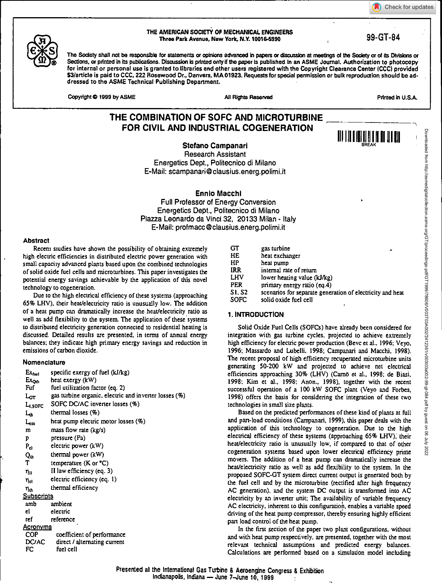Check for updates



<sup>111</sup> <sup>111</sup> <sup>111</sup>111[1<sup>1</sup> 111 <sup>111</sup> <sup>111</sup>



#### THE AMERICAN SOCIETY OF MECHANICAL ENGINEERS Three Park Avenue, New York, N.Y.100164990 99-GT-84

The Society shall not be responsible for statements or opinions advanced in papers or discussion at meetings of the Society or of its Divisions or Sections, or printed in its publications. Discussion is printed only if the paper is published in an ASME Journal. Authorization to photocopy for internal or personal use is granted to libraries and other users registered with the Copyright Clearance Center (CCC) provided S3/article is paid to CCC, 222 Rosewood Dr., Danvers, MA 01923. Requests for special permission or bulk reproduction should be addressed to the ASME Technical Publishing Department.

Copyright  $\bigcirc$  1999 by ASME Additional All Rights Reserved Additional Printed in U.S.A.

# **THE COMBINATION OF SOFC AND MICROTURBINE FOR CIVIL AND INDUSTRIAL COGENERATION**

**Stefano Campanari** 

Research Assistant Energetics Dept., Politecnico di Milano E-Mail: scampanari@clausius.energ.polimi.it

**Ennio Macchi** 

Full Professor of Energy Conversion Energetics Dept., Politecnico di Milano Piazza Leonardo da Vinci 32, 20133 Milan - Italy E-Mail: profmacc@clausius.energ.polimi.it

# **Abstract**

Recent studies have shown the possibility of obtaining extremely high electric efficiencies in distributed electric power generation with small capacity advanced plants based upon the combined technologies of solid oxide fuel cells and microturbines. This paper investigates the potential energy savings achievable by the application of this novel technology to cogeneration.

Due to the high electrical efficiency of these systems (approaching 65% LHV), their hear/electricity ratio is unusually low. The addition of a heat pump can dramatically increase the heat/electricity ratio as well as add flexibility to the system. The application of these systems to distributed electricity generation connected to residential heating is discussed. Detailed results are presented, in terms of annual energy balances; they indicate high primary energy savings and reduction in emissions of carbon dioxide.

# **Nomenclature**

| $Ex_{\text{fuel}}$  | specific exergy of fuel (kJ/kg)                       |
|---------------------|-------------------------------------------------------|
| $Ex_{\text{Out}}$   | heat exergy (kW)                                      |
| Fuf                 | fuel utilization factor (eq. 2)                       |
| LGT                 | gas turbine organic, electric and inverter losses (%) |
| L <sub>I.SOFC</sub> | SOFC DC/AC inverter losses (%)                        |
| Lъ                  | thermal losses $(\%)$                                 |
| سما                 | heat pump electric motor losses (%)                   |
| m                   | mass flow rate (kg/s)                                 |
| P                   | pressure (Pa)                                         |
| $P_{el}$            | electric power (kW)                                   |
| Qu                  | thermal power (kW)                                    |
| т                   | temperature $(K$ or $^{\circ}C)$                      |
| դո                  | II law efficiency (eq. 3)                             |
| ուլ                 | electric efficiency (eq. 1)                           |
| $\eta_{th}$         | thermal efficiency                                    |
| Subscripts          |                                                       |
| amb                 | ambient                                               |
| cl                  | electric                                              |
| ref                 | reference                                             |
| <u>Acronyms</u>     |                                                       |
| <b>COP</b>          | coefficient of performance                            |
| <b>DC/AC</b>        | direct / alternating current                          |
| FC                  | fuel cell                                             |

| СT     | gas turbine                                               |
|--------|-----------------------------------------------------------|
| HE     | heat exchanger                                            |
| HР     | heat pump                                                 |
| IRR    | internal rate of return                                   |
| LHV    | lower heating value (kJ/kg)                               |
| PER    | primary energy ratio (eq.4)                               |
| SI. S2 | scenarios for separate generation of electricity and heat |
| SOFC   | solid oxide fuel cell                                     |
|        |                                                           |

# **1. INTRODUCTION**

Solid Oxide Fuel Cells (SOFCs) have already been considered for integration with gas turbine cycles, projected to achieve extremely high efficiency for electric power production (Bevc et al., 1996; Veyo, 1996; Massardo and Lubelli, 1998; Campanari and Macchi, 1998). The recent proposal of high efficiency recuperated microturbine units generating 50-200 kW and projected to achieve net electrical efficiencies approaching 30% (LHV) (Cana et al., 1998; de Biasi, 1998; Kim et al., 1998; Anon., 1998), together with the recent successful operation of a 100 kW SOFC plant (Veyo and Forbes, 1998) offers the basis for considering the integration of these two technologies in small size plants.

Based on the predicted performances of these kind of plants at full and part-load conditions (Campanari, 1999), this paper deals with the application of this technology to cogeneration. Due to the high electrical efficiency of these systems (approaching 65% LHV), their heat/electricity ratio is unusually low, if compared to that of other cogeneration systems based upon lower electrical efficiency prime movers. The addition of a heat pump can dramatically increase the heat/electricity ratio as well as add flexibility to the system. In the proposed SOFC-GT system direct current output is generated both by the fuel cell and by the microturbine (rectified after high frequency AC generation), and the system DC output is transformed into AC electricity by an inverter unit; The availability of variable frequency AC electricity, inherent to this configuration, enables a variable speed driving of the heat pump compressor, thereby ensuring highly efficient part load control of the heat pump.

In the first section of the paper two plant configurations, without and with heat pump respectively, are presented, together with the most relevant technical assumptions and predicted energy balances. Calculations are performed based on a simulation model including

Presented al the International Gas Turbine & Aeroengine Congress & Exhibition Indianapolis, Indiana — June 7–June 10, 1999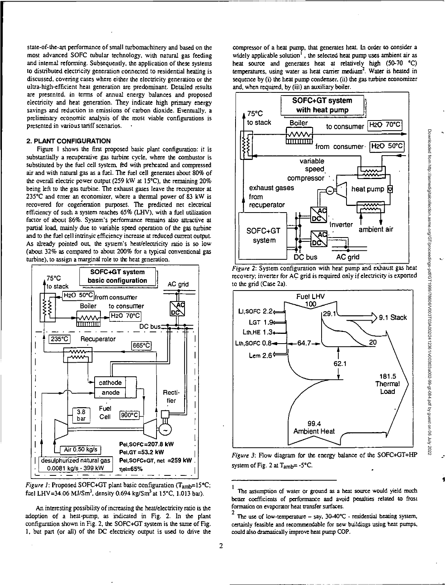state-of-the-art performance of small turbomachinery and based on the most advanced SOFC tubular technology, with natural gas feeding and internal reforming. Subsequently, the application of these systems to distributed electricity generation connected to residential heating is discussed, covering cases where either the electricity generation or the ultra-high-efficient heat generation are predominant. Detailed results are presented, in terms of annual energy balances and proposed electricity and heat generation. They indicate high primary energy savings and reduction in emissions of carbon dioxide. Eventually, a preliminary economic analysis of the most viable configurations is presented in various tariff scenarios. •

# 2. **PLANT CONFIGURATION**

Figure 1 shows the first proposed basic plant configuration: it is substantially a recuperative gas turbine cycle, where the combustor is substituted by the fuel cell system, fed with preheated and compressed air and with natural gas as a fuel. The fuel cell generates about 80% of the overall electric power output (259 kW at 15 $^{\circ}$ C), the remaining 20% being left to the gas turbine. The exhaust gases leave the recuperator at 235°C and enter an economizer, where a thermal power of 83 kW is recovered for cogeneration purposes. The predicted net electrical efficiency of such a system reaches 65% (LHV), with a fuel utilization factor of about 86%. System's performance remains also attractive at partial load, mainly due to variable speed operation of the gas turbine and to the fuel cell intrinsic efficiency increase at reduced current output. As already pointed out, the system's heat/electricity ratio is so low (about 32% as compared to about 200% for a typical conventional gas turbine), to assign a marginal role to the heat generation.



Figure 1: Proposed SOFC+GT plant basic configuration (T<sub>amb</sub>=15°C; fuel LHV=34.06 MJ/Sm<sup>3</sup>, density 0.694 kg/Sm<sup>3</sup> at 15°C, 1.013 bar).

An interesting possibility of increasing the heat/electricity ratio is the adoption of a heat-pump, as indicated in Fig. 2. In the plant configuration shown in Fig. 2, the SOFC+GT system is the same of Fig. 1, but part (or all) of the DC electricity output is used to drive the

compressor of a heat pump, that generates heal. In order to consider a widely applicable solution<sup>1</sup>, the selected heat pump uses ambient air as heat source and generates heat at relatively high (50-70 °C) temperatures, using water as heat carrier medium<sup>2</sup>. Water is heated in sequence by (i) the heat pump condenser. (ii) the gas turbine economizer and, when required, by (iii) an auxiliary boiler.





recovery; inverter for AC grid is required only if electricity is exported

Figure 3: Flow diagram for the energy balance of the SOFC+GT+HP system of Fig. 2 at  $T_{amb} = -5$ °C.

The assumption of water or ground as a heat source would yield much better coefficients of performance and avoid penalties related to frost formation on evaporator heat transfer surfaces.

The use of low-temperature - say, 30-40°C - residential heating system, certainly feasible and recommendable for new buildings using heat pumps, could also dramatically improve heat pump COP.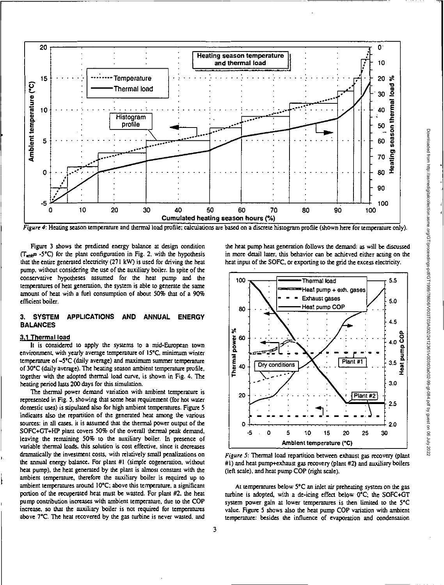

Figure 4: Heating season temperature and thermal load profile; calculations are based on a discrete histogram profile (shown here for temperature only).

Figure 3 shows the predicted energy balance at design condition (T<sub>mit</sub>= -5°C) for the plant configuration in Fig. 2, with the hypothesis that the entire generated electricity (271 kW) is used for driving the heat pump, without considering the use of the auxiliary boiler. In spite of the conservative hypotheses assumed for the heat pump and the temperatures of heat generation, the system is able to generate the same amount of heat with a fuel consumption of about 50% that of a 90% efficient boiler.

#### $3.$ **SYSTEM APPLICATIONS AND ANNUAL ENERGY BALANCES**

#### 3.1 Thermal load

It is considered to apply the systems to a mid-European town environment, with yearly average temperature of 15°C, minimum winter temperature of -5°C (daily average) and maximum summer temperature of 30°C (daily average). The heating season ambient temperature profile, together with the adopted thermal load curve, is shown in Fig. 4. The heating period lasts 200 days for this simulation.

The thermal power demand variation with ambient temperature is represented in Fig. 5, showing that some heat requirement (for hot water domestic uses) is stipulated also for high ambient temperatures. Figure 5 indicates also the repartition of the generated heat among the various sources: in all cases, it is assumed that the thermal power output of the SOFC+GT+HP plant covers 50% of the overall thermal peak demand, leaving the remaining 50% to the auxiliary boiler. In presence of variable thermal loads, this solution is cost effective, since it decreases dramatically the investment costs, with relatively small penalizations on the annual energy balance. For plant #1 (simple cogeneration, without heat pump), the heat generated by the plant is almost constant with the ambient temperature, therefore the auxiliary boiler is required up to ambient temperatures around 10°C; above this temperature, a significant portion of the recuperated heat must be wasted. For plant #2, the heat pump contribution increases with ambient temperature, due to the COP increase, so that the auxiliary boiler is not required for temperatures above 7°C. The heat recovered by the gas turbine is never wasted, and the heat pump heat generation follows the demand: as will be discussed in more detail later, this behavior can be achieved either acting on the heat input of the SOFC, or exporting to the grid the excess electricity.



Figure 5: Thermal load repartition between exhaust gas recovery (plant #1) and heat pump+exhaust gas recovery (plant #2) and auxiliary boilers (left scale), and heat pump COP (right scale).

At temperatures below 5°C an inlet air preheating system on the gas turbine is adopted, with a de-icing effect below 0°C; the SOFC+GT system power gain at lower temperatures is then limited to the 5°C value. Figure 5 shows also the heat pump COP variation with ambient temperature: besides the influence of evaporation and condensation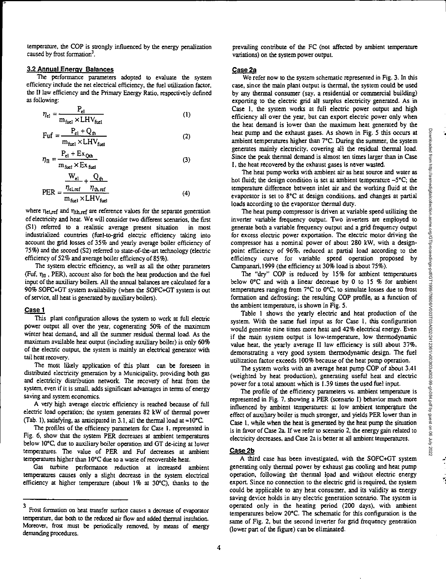Ŧ.

temperature, the COP is strongly influenced by the energy penalization caused by frost formation<sup>3</sup>.

# **3.2 Annual Energy Balances**

The performance parameters adopted to evaluate the system efficiency include the net electrical efficiency, the fuel utilization factor, the II law efficiency and the Primary Energy Ratio, respectively defined as following:

$$
\eta_{\rm el} = \frac{P_{\rm el}}{m_{\rm fuel} \times LHV_{\rm fuel}}\tag{1}
$$

$$
Fuf = \frac{P_{el} + Q_{th}}{m_{fuel} \times LHV_{fuel}}
$$
 (2)

$$
\eta_{\rm II} = \frac{P_{\rm el} + Ex_{\rm Qth}}{m_{\rm fuel} \times Ex_{\rm fuel}} \tag{3}
$$

$$
PER = \frac{\frac{W_{e1}}{\eta_{e1,ref}} + \frac{Q_{th}}{\eta_{th,ref}}}{m_{fuel} \times LHV_{fuel}}
$$
(4)

where  $\eta_{\text{el,ref}}$  and  $\eta_{\text{th,ref}}$  are reference values for the separate generation of electricity and heat. We will consider two different scenarios, the first (S1) referred to a realistic average present situation in most industrialized countries (fuel-to-grid electric efficiency taking into account the grid losses of 35% and yearly average boiler efficiency of 75%) and the second (S2) referred to state-of-the-art technology (electric efficiency of 52% and average boiler efficiency of 85%).

The system electric efficiency, as well as all the other parameters (Fuf,  $\eta_{II}$ , PER), account also for both the heat production and the fuel input of the auxiliary boilers. All the annual balances are calculated for a 90% SOFC+GT system availability (when the SOFC+GT system is out of service, all heat is generated by auxiliary boilers).

### **Case 1**

This plant configuration allows the system to work at full electric power output all over the year, cogenerating 50% of the maximum winter heat demand, and all the summer residual thermal load. As the maximum available heat output (including auxiliary boiler) is only 60% of the electric output, the system is mainly an electrical generator with tail heat recovery.

The most likely application of this plant can be foreseen in distributed electricity generation by a Municipality, providing both gas and electricity distribution network. The recovery of heat from the system, even if it is small, adds significant advantages in terms of energy saving and system economics.

A very high average electric efficiency is reached because of full electric load operation; the system generates 82 kW of thermal power (Tab. 1), satisfying, as anticipated in 3.1, all the thermal load at  $\approx 10^{\circ}$ C.

The profiles of the efficiency parameters for Case 1, represented in Fig. 6, show that the system PER decreases at ambient temperatures below 10°C, due to auxiliary boiler operation and CT de-icing at lower temperatures. The value of PER and Fuf decreases at ambient temperatures higher than 10°C due to a waste of recoverable heat.

Gas turbine perfonnance reduction at increased ambient temperatures causes only a slight decrease in the system electrical efficiency at higher temperature (about 1% at 30°C), thanks to the prevailing contribute of the FC (not affected by ambient temperature variations) on the system power output.

#### **Case 2a**

We refer now to the system schematic represented in Fig. 3. In this case, since the main plant output is thermal, the system could be used by any thermal consumer (say, a residential or commercial building) exporting to the electric grid all surplus electricity generated. As in Case 1, the system works at full electric power output and high efficiency all over the year, but can export electric power only when the heat demand is lower than the maximum heat generated by the heat pump and the exhaust gases. As shown in Fig. 5 this occurs at ambient temperatures higher than 7°C. During the summer, the system generates mainly electricity, covering all the residual thermal load. Since the peak thermal demand is almost ten times larger than in Case 1, the heat recovered by the exhaust gases is never wasted.

The heat pump works with ambient air as heat source and water as hot fluid; the design condition is set at ambient temperature  $-5^{\circ}$ C; the temperature difference between inlet air and the working fluid at the evaporator is set to 8°C at design conditions, and changes at partial loads according to the evaporator thermal duty.

The heat pump compressor is driven at variable speed utilizing the inverter variable frequency output. Two inverters are employed to generate both a variable frequency output and a grid frequency output for excess electric power exportation. The electric motor driving the compressor has a nominal power of about 280 kW, with a designpoint efficiency of 96%, reduced at partial load according to the efficiency curve for variable speed operation proposed by Campanari,1999 (the efficiency at 30% load is about 75%).

The "dry" COP is reduced by 15% for ambient temperatures below 0°C and with a linear decrease by 0 to 15 % for ambient temperatures ranging from 7°C to 0°C, to simulate losses due to frost formation and defrosting; the resulting COP profile, as a function of the ambient temperature, is shown in Fig. 5.

Table 1 shows the yearly electric and heat production of the system. With the same fuel input as for Case 1, this configuration would generate nine times more heat and 42% electrical energy. Even if the main system output is low-temperature, low thermodynamic value heat, the yearly average II law efficiency is still about 37%, demonstrating a very good system thermodynamic design. The fuel utilization factor exceeds 100% because of the heat pump operation.

The system works with an average heat pump COP of about 3.41 (weighted by heat production), generating useful heat and electric power for a total amount which is 1.39 times the used fuel input.

The profile of the efficiency parameters vs. ambient temperature is represented in Fig. 7, showing a PER (scenario 1) behavior much more influenced by ambient temperatures: at low ambient temperature the effect of auxiliary boiler is much stronger, and yields PER lower than in Case 1, while when the heat is generated by the heat pump the situation is in favor of Case 2a. If we refer to scenario 2, the energy gain related to electricity decreases, and Case 2a is better at all ambient temperatures.

### **Case 2b**

A third case has been investigated, with the SOFC+GT system generating only thermal power by exhaust gas cooling and heat pump operation, following the thermal load and without electric energy export. Since no connection to the electric grid is required, the system could be applicable to any heat consumer, and its validity as energy saving device holds in any electric generation scenario. The system is operated only in the heating period (200 days), with ambient temperatures below 20°C. The schematic for this configuration is the same of Fig. 2, but the second inverter for grid frequency generation (lower part of the figure) can be eliminated.

<sup>3</sup>Frost formation on heat transfer surface causes a decrease of evaporator temperature, due both to the reduced air flow and added thermal insulation. Moreover, frost must be periodically removed, by means of energy demanding procedures.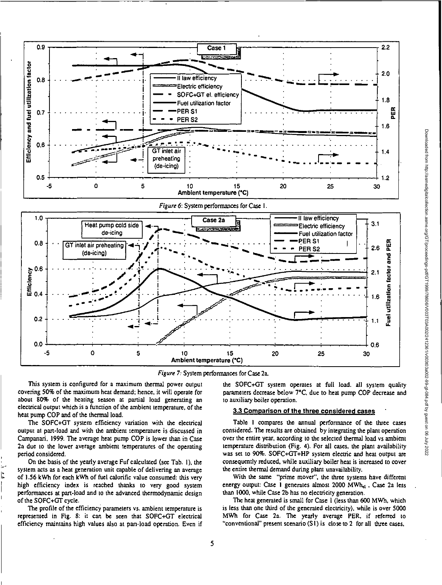



This system is configured for a maximum thermal power output covering 50% of the maximum heat demand; hence, it will operate for about 80% of the heating season at partial load generating an electrical output which is a function of the ambient temperature, of the heat pump COP and of the thermal load.

The SOFC+GT system efficiency variation with the electrical output at part-load and with the ambient temperature is discussed in Campanari, 1999. The average heat pump COP is lower than in Case 2a due to the lower average ambient temperatures of the operating period considered.

On the basis of the yearly average Fuf calculated (see Tab. 1), the system acts as a heat generation unit capable of delivering an average of 1.56 kWh for each kWh of fuel calorific value consumed: this very high efficiency index is reached thanks to very good system performances at part-load and to the advanced thermodynamic design of the SOFC+GT cycle.

The profile of the efficiency parameters vs. ambient temperature is represented in Fig. 8: it can be seen that SOFC+GT electrical efficiency maintains high values also at part-load operation. Even if the SOFC+GT system operates at full load. all system quality parameters decrease below 7°C, due to heat pump COP decrease and to auxiliary boiler operation.

#### 3.3 Comparison of the three considered cases

Table I compares the annual performance of the three cases considered. The results are obtained by integrating the plant operation over the entire year, according to the selected thermal load vs ambient temperature distribution (Fig. 4). For all cases, the plant availability was set to 90%. SOFC+GT+HP system electric and heat output are consequently reduced, while auxiliary boiler heat is increased to cover the entire thermal demand during plant unavailability.

With the same "prime mover", the three systems have different energy output: Case 1 generates almost 2000 MWh<sub>el</sub>, Case 2a less than 1000, while Case 2b has no electricity generation.

The heat generated is small for Case 1 (less than 600 MWh, which is less than one third of the generated electricity), while is over 5000 MWh for Case 2a. The yearly average PER, if referred to "conventional" present scenario (S1) is close to 2 for all three cases,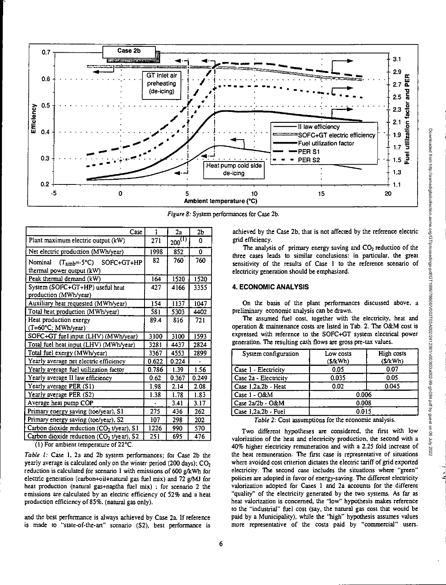

*Figure 8:* System performances for Case 2b.

| Case                                                  | 1     | 22          | 2b    |
|-------------------------------------------------------|-------|-------------|-------|
| Plant maximum electric output (kW)                    | 271   | $200^{(1)}$ | 0     |
| Net electric production (MWh/year)                    | 1998  | 852         | 0     |
| Nominal<br>$(T_{amb} = -5°C)$ SOFC+GT+HP              | 82    | 760         | 760   |
| thermal power output (kW)                             |       |             |       |
| Peak thermal demand (kW)                              | 164   | 1520        | 1520  |
| System (SOFC+GT+HP) useful heat                       | 427   | 4166        | 3355  |
| production (MWh/year)                                 |       |             |       |
| Auxiliary heat requested (MWh/year)                   | 154   | 1137        | 1047  |
| Total heat production (MWh/year)                      | 581   | 5303        | 4402  |
| Heat production exergy                                | 89.4  | 816         | 721   |
| (T=60°C; MWh/year)                                    |       |             |       |
| SOFC+GT fuel input (LHV) (MWh/year)                   | 3100  | 3100        | 1593  |
| Total fuel heat input (LHV) (MWh/year)                | 3281  | 4437        | 2824  |
| Total fuel exergy (MWh/year)                          | 3367  | 4553        | 2899  |
| Yearly average net electric efficiency                | 0.622 | 0.224       |       |
| Yearly average fuel utilization factor                | 0.786 | 1.39        | 1.56  |
| Yearly average Il law efficiency                      | 0.62  | 0.367       | 0.249 |
| Yearly average PER (S1)                               | 1.98  | 2.14        | 2.08  |
| Yearly average PER (S2)                               | 1.38  | 1.78        | 1.83  |
| Average heat pump COP                                 |       | 3.41        | 3.17  |
| Primary energy saving (toe/year), S1                  | 275   | 436         | 262   |
| Primary energy saving (toe/year), S2                  | 107   | 298         | 202   |
| Carbon dioxide reduction (CO <sub>2</sub> t/year), S1 | 1226  | 990         | 570   |
| Carbon dioxide reduction (CO2 t/year), S2             | 251   | 695         | 476   |

(1) For ambient temperature of 22°C.

*Table I:* Case I, 2a and 2b system performances; for Case 2b the yearly average is calculated only on the winter period (200 days);  $CO<sub>2</sub>$ reduction is calculated for scenario 1 with emissions of 600 g/kWh for electric generation (carbon+oil+natural gas fuel mix) and 72 g/MJ for heat production (natural gas+naptha fuel mix) ; for scenario 2 the emissions are calculated by an electric efficiency of 52% and a heat production efficiency of 85%. (natural gas only).

and the best performance is always achieved by Case 2a. If reference is made to "state-of-the-art" scenario (82), best performance is achieved by the Case 2b, that is not affected by the reference electric grid efficiency.

The analysis of primary energy saving and  $CO<sub>2</sub>$  reduction of the three cases leads to similar conclusions: in particular, the great sensitivity of the results of Case 1 to the reference scenario of electricity generation should be emphasized.

# **4. ECONOMIC ANALYSIS**

On the basis of the plant performances discussed above, a preliminary economic analysis can be drawn.

The assumed fuel cost, together with the electricity, heat and operation & maintenance costs are listed in Tab. 2. The O&M cost is expressed with reference to the SOFC+GT system electrical power generation. The resulting cash flows are gross pre-tax values.

| System configuration  | Low costs<br>$(S/\text{kWh})$ | <b>High costs</b><br>(S/kWh) |  |
|-----------------------|-------------------------------|------------------------------|--|
| Case 1 - Electricity  | 0.05                          | 0.07                         |  |
| Case 2a - Electricity | 0.035                         | 0.05                         |  |
| Case 1.2a.2b - Heat   | 0.02                          | 0.045                        |  |
| Case 1 - O&M          | 0.006                         |                              |  |
| l Case 2a/2b - O&M    | 0.008                         |                              |  |
| Case 1,2a,2b - Fuel   | 0.015                         |                              |  |

*Table 2:* Cost assumptions for the economic analysis.

Two different hypotheses are considered, the first with low valorization of the heat and electricity production, the second with a 40% higher electricity remuneration and with a 2.25 fold increase of the heat remuneration. The first case is representative of situations where avoided cost criterion dictates the electric tariff of grid exported electricity. The second case includes the situations where "green" policies are adopted in favor of energy-saving. The different electricity valorization adopted for Cases 1 and 2a accounts for the different "quality" of the electricity generated by the two systems. As far as heat valorization is concerned, the "low" hypothesis makes reference to the "industrial" fuel cost (say, the natural gas cost that would be paid by a Municipality), while the "high" hypothesis assumes values more representative of the costs paid by "commercial" users.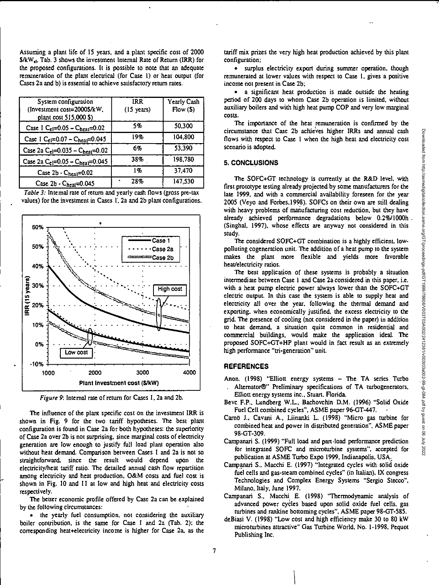Assuming a plant life of 15 years, and a plant specific cost of 2000  $$/kW_{\text{el}}$$ , Tab. 3 shows the investment Internal Rate of Return (IRR) for the proposed configurations. It is possible to note that an adequate remuneration of the plant electrical (for Case 1) or heat output (for Cases 2a and b) is essential to achieve satisfactory return rates.

| System configuration<br>(Investment cost=2000\$/kW,<br>plant cost 515,000 \$) | <b>IRR</b><br>$(15 \text{ years})$ | Yearly Cash<br>Flow(5) |
|-------------------------------------------------------------------------------|------------------------------------|------------------------|
| Case I C <sub>el</sub> =0.05 - C <sub>heal</sub> =0.02                        | 5%                                 | 50.300                 |
| Case I C <sub>c1</sub> =0.07 - C <sub>hea1</sub> =0.045                       | 19%                                | 104.800                |
| Case 2a C <sub>el</sub> =0.035 - C <sub>heal</sub> =0.02                      | 6%                                 | 53.390                 |
| Case 2a $C_{el}$ =0.05 - $C_{heal}$ =0.045                                    | 38%                                | 198,780                |
| Case 2b - Cheat=0.02                                                          | 1%                                 | 37.470                 |
| Case 2b - Cheat=0.045                                                         | 28%                                | 147.530                |

Table 3: Internal rate of return and yearly cash flows (gross pre-tax values) for the investment in Cases I, 2a and 2b plant configurations.



Figure 9: Internal rate of return for Cases I, 2a and 2b.

The influence of the plant specific cost on the investment IRR is shown in Fig. 9 for the two tariff hypotheses. The best plant configuration is found in Case 2a for both hypotheses: the superiority of Case 2a over 2b is not surprising, since marginal costs of electricity generation are low enough to justify full load plant operation also without heat demand. Comparison between Cases 1 and 2a is not so straightforward, since the result would depend upon the electricity/heat tariff ratio. The detailed annual cash flow repartition among electricity and heat production, O&M costs and fuel cost is shown in Fig. 10 and 11 at low and high heat and electricity costs respectively.

The better economic profile offered by Case 2a can be explained by the following circumstances:

• the yearly fuel consumption, not considering the auxiliary boiler contribution, is the same for Case 1 and 2a (Tab. 2); the corresponding heat+electricity income is higher for Case 2a. as the tariff mix prizes the very high heat production achieved by this plant configuration;

• surplus electricity export during summer operation, though remunerated at lower values with respect to Case 1, gives a positive income not present in Case 2b;

• a significant heat production is made outside the heating period of 200 days to whom Case 2b operation is limited, without auxiliary boilers and with high heat pump COP and very low marginal costs.

The importance of the heat remuneration is confirmed by the circumstance that Case 2b achieves higher IRRs and annual cash flows with respect to Case I when the high heat and electricity cost scenario is adopted.

### **5. CONCLUSIONS**

The SOFC+GT technology is currently at the R&D level, with first prototype testing already projected by some manufacturers for the late 1999, and with a commercial availability foreseen for the year 2005 (Veyo and Forbes.I998). SOFCs on their own are still dealing with heavy problems of manufacturing cost reduction, but they have already achieved performance degradations below 0.2%/1000h (Singhal, 1997), whose effects are anyway not considered in this study.

The considered SOFC+GT combination is a highly efficient, lowpolluting cogeneration unit. The addition of a heat pump to the system makes the plant more flexible and yields more favorable heat/electricity ratios.

The best application of these systems is probably a situation intermediate between Case 1 and Case 2a considered in this paper, i.e. with a heat pump electric power always lower than the SOFC+GT electric output. In this case the system is able to supply heat and electricity all over the year, following the thermal demand and exporting, when economically justified, the excess electricity to the grid. The presence of cooling (not considered in the paper) in addition to heat demand, a situation quite common in residential and commercial buildings, would make the application ideal. The proposed SOFC+GT+HP plant would in fact result as an extremely high performance "tri-generation" unit.

# **REFERENCES**

- Anon. (1998) "Elliott energy systems The TA series Turbo . Altemator0" Preliminary specifications of TA turbogenerators, Elliott energy systems inc., Stuart, Florida.
- Bevc F.P., Lundberg W.L., Bachovchin D.M. (1996) "Solid Oxide Fuel Cell combined cycles", ASME paper 96-GT-447. •
- Camo 1., Cavani A., Liinanki L. (1998) "Micro gas turbine for combined heat and power in distributed generation", ASME paper 98-GT-309.
- Campanari S. (1999) "Full load and part-load performance prediction for integrated SOFC and microturbine systems", accepted for publication at ASME Turbo Expo 1999, Indianapolis, USA.
- Campanari S., Macchi E. (1997) "Integrated cycles with solid oxide fuel cells and gas-steam combined cycles" (in Italian), IX congress Technologies and Complex Energy Systems "Sergio Stecco", Milano, Italy, June 1997.
- Campanari S., Macchi E. (1998) "Thermodynamic analysis of advanced power cycles based upon solid oxide fuel cells, gas turbines and rankine bottoming cycles", ASME paper 98-GT-585.
- deBiasi V. (1998) "Low cost and high efficiency make 30 to 80 kW microturbines attractive" Gas Turbine World, No. 1-1998, Pequot Publishing Inc.